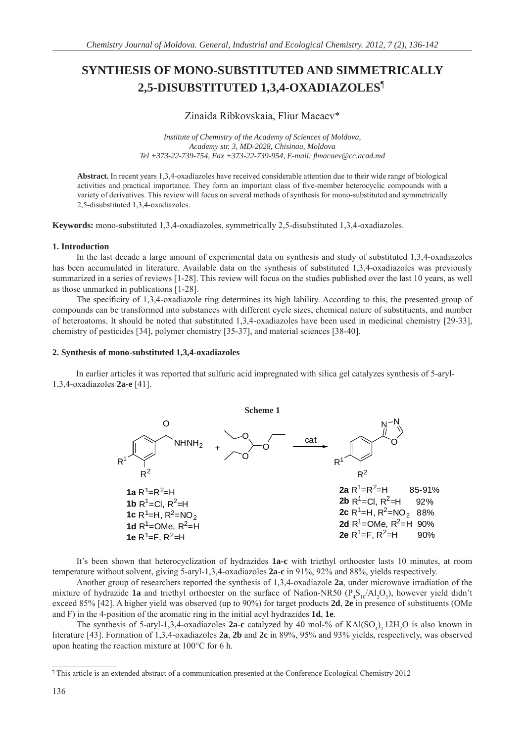# **SYNTHESIS OF MONO-SUBSTITUTED AND SIMMETRICALLY 2,5-DISUBSTITUTED 1,3,4-OXADIAZOLES**¶**<sup>1</sup>**

Zinaida Ribkovskaia, Fliur Macaev\*

*Institute of Chemistry of the Academy of Sciences of Moldova, Academy str. 3, MD-2028, Chisinau, Moldova Tel +373-22-739-754, Fax +373-22-739-954, E-mail: fl macaev@cc.acad.md*

**Abstract.** In recent years 1,3,4-oxadiazoles have received considerable attention due to their wide range of biological activities and practical importance. They form an important class of five-member heterocyclic compounds with a variety of derivatives. This review will focus on several methods of synthesis for mono-substituted and symmetrically 2,5-disubstituted 1,3,4-oxadiazoles.

**Keywords:** mono-substituted 1,3,4-oxadiazoles, symmetrically 2,5-disubstituted 1,3,4-oxadiazoles.

# **1. Introduction**

In the last decade a large amount of experimental data on synthesis and study of substituted 1,3,4-oxadiazoles has been accumulated in literature. Available data on the synthesis of substituted 1,3,4-oxadiazoles was previously summarized in a series of reviews [1-28]. This review will focus on the studies published over the last 10 years, as well as those unmarked in publications [1-28].

The specificity of 1,3,4-oxadiazole ring determines its high lability. According to this, the presented group of compounds can be transformed into substances with different cycle sizes, chemical nature of substituents, and number of heteroatoms. It should be noted that substituted 1,3,4-oxadiazoles have been used in medicinal chemistry [29-33], chemistry of pesticides [34], polymer chemistry [35-37], and material sciences [38-40].

# **2. Synthesis of mono-substituted 1,3,4-oxadiazoles**

In earlier articles it was reported that sulfuric acid impregnated with silica gel catalyzes synthesis of 5-aryl-1,3,4-oxadiazoles **2a-e** [41].



It's been shown that heterocyclization of hydrazides **1a-c** with triethyl orthoester lasts 10 minutes, at room temperature without solvent, giving 5-aryl-1,3,4-oxadiazoles **2a-c** in 91%, 92% and 88%, yields respectively.

Another group of researchers reported the synthesis of 1,3,4-oxadiazole **2a**, under microwave irradiation of the mixture of hydrazide **1a** and triethyl orthoester on the surface of Nafion-NR50 ( $P_4S_{10}/Al_2O_3$ ), however yield didn't exceed 85% [42]. A higher yield was observed (up to 90%) for target products **2d**, **2e** in presence of substituents (OMe and F) in the 4-position of the aromatic ring in the initial acyl hydrazides **1d**, **1e**.

The synthesis of 5-aryl-1,3,4-oxadiazoles **2a-c** catalyzed by 40 mol-% of  $\text{KAl(SO}_4)_2 12 \text{H}_2\text{O}$  is also known in literature [43]. Formation of 1,3,4-oxadiazoles **2a**, **2b** and **2c** in 89%, 95% and 93% yields, respectively, was observed upon heating the reaction mixture at 100°C for 6 h.

<sup>¶</sup> This article is an extended abstract of a communication presented at the Conference Ecological Chemistry 2012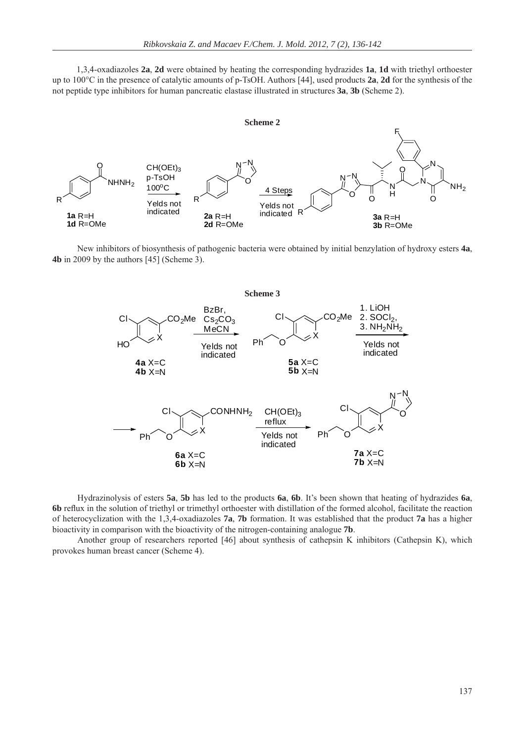1,3,4-oxadiazoles **2a**, **2d** were obtained by heating the corresponding hydrazides **1a**, **1d** with triethyl orthoester up to 100°C in the presence of catalytic amounts of p-TsOH. Authors [44], used products **2a**, **2d** for the synthesis of the not peptide type inhibitors for human pancreatic elastase illustrated in structures **3a**, **3b** (Scheme 2).





 New inhibitors of biosynthesis of pathogenic bacteria were obtained by initial benzylation of hydroxy esters **4a**, **4b** in 2009 by the authors [45] (Scheme 3).



Hydrazinolysis of esters **5a**, **5b** has led to the products **6a**, **6b**. It's been shown that heating of hydrazides **6a**, **6b** reflux in the solution of triethyl or trimethyl orthoester with distillation of the formed alcohol, facilitate the reaction of heterocyclization with the 1,3,4-oxadiazoles **7a**, **7b** formation. It was established that the product **7a** has a higher bioactivity in comparison with the bioactivity of the nitrogen-containing analogue **7b**.

Another group of researchers reported [46] about synthesis of cathepsin K inhibitors (Cathepsin K), which provokes human breast cancer (Scheme 4).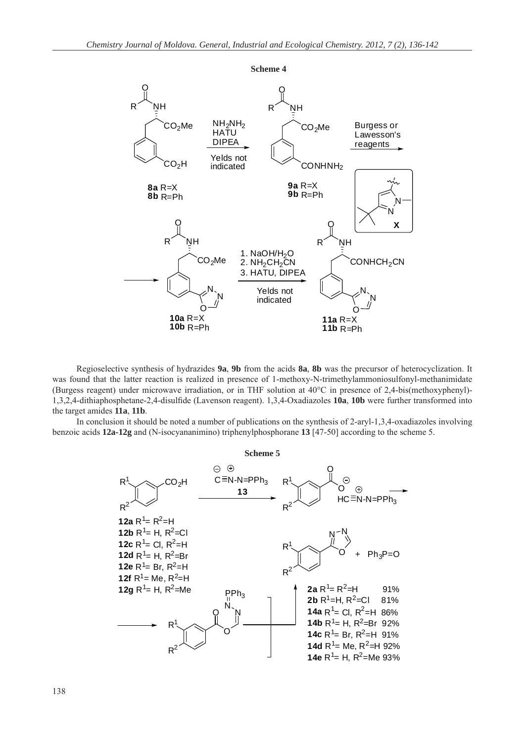

Regioselective synthesis of hydrazides **9a**, **9b** from the acids **8a**, **8b** was the precursor of heterocyclization. It was found that the latter reaction is realized in presence of 1-methoxy-N-trimethylammoniosulfonyl-methanimidate (Burgess reagent) under microwave irradiation, or in THF solution at 40°C in presence of 2,4-bis(methoxyphenyl)- 1,3,2,4-dithiaphosphetane-2,4-disulfi de (Lavenson reagent). 1,3,4-Oxadiazoles **10a**, **10b** were further transformed into the target amides **11a**, **11b**.

In conclusion it should be noted a number of publications on the synthesis of 2-aryl-1,3,4-oxadiazoles involving benzoic acids **12a-12g** and (N-isocyananimino) triphenylphosphorane **13** [47-50] according to the scheme 5.

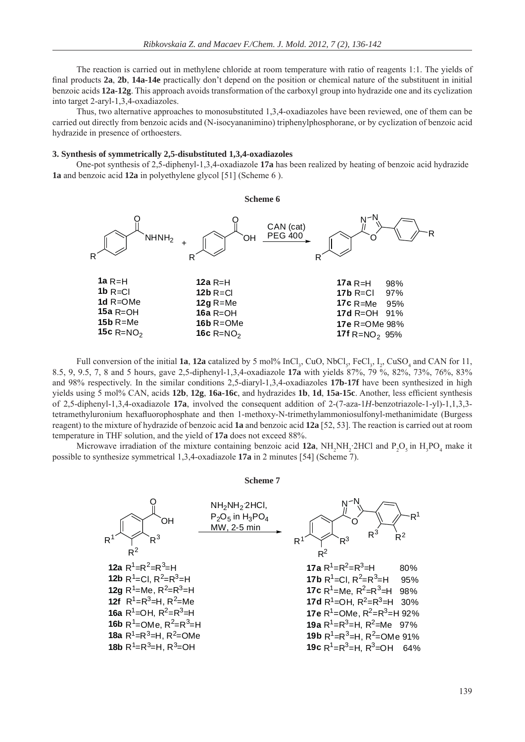The reaction is carried out in methylene chloride at room temperature with ratio of reagents 1:1. The yields of final products **2a**, **2b**, **14a-14e** practically don't depend on the position or chemical nature of the substituent in initial benzoic acids **12a-12g**. This approach avoids transformation of the carboxyl group into hydrazide one and its cyclization into target 2-aryl-1,3,4-oxadiazoles.

Thus, two alternative approaches to monosubstituted 1,3,4-oxadiazoles have been reviewed, one of them can be carried out directly from benzoic acids and (N-isocyananimino) triphenylphosphorane, or by cyclization of benzoic acid hydrazide in presence of orthoesters.

## **3. Synthesis of symmetrically 2,5-disubstituted 1,3,4-oxadiazoles**

One-pot synthesis of 2,5-diphenyl-1,3,4-oxadiazole **17a** has been realized by heating of benzoic acid hydrazide **1a** and benzoic acid **12a** in polyethylene glycol [51] (Scheme 6 ).



Full conversion of the initial **1a**, **12a** catalized by 5 mol%  $InCl_3$ , CuO, NbCl<sub>5</sub>, FeCl<sub>3</sub>, I<sub>2</sub>, CuSO<sub>4</sub> and CAN for 11, 8.5, 9, 9.5, 7, 8 and 5 hours, gave 2,5-diphenyl-1,3,4-oxadiazole **17a** with yields 87%, 79 %, 82%, 73%, 76%, 83% and 98% respectively. In the similar conditions 2,5-diaryl-1,3,4-oxadiazoles **17b-17f** have been synthesized in high yields using 5 mol% CAN, acids 12b, 12g, 16a-16c, and hydrazides 1b, 1d, 15a-15c. Another, less efficient synthesis of 2,5-diphenyl-1,3,4-oxadiazole **17a**, involved the consequent addition of 2-(7-aza-1*H*-benzotriazole-1-yl)-1,1,3,3 tetramethyluronium hexafluorophosphate and then 1-methoxy-N-trimethylammoniosulfonyl-methanimidate (Burgess reagent) to the mixture of hydrazide of benzoic acid **1a** and benzoic acid **12a** [52, 53]. The reaction is carried out at room temperature in THF solution, and the yield of **17a** does not exceed 88%.

Microwave irradiation of the mixture containing benzoic acid  $12a$ ,  $NH_2NH_2$ :2HCl and  $P_2O_5$  in  $H_3PO_4$  make it possible to synthesize symmetrical 1,3,4-oxadiazole **17a** in 2 minutes [54] (Scheme 7).

#### **Scheme 7**

| 0                                                                                                                                                                                                                                                                                                                                                                                                                                                                                                                                                                                                                                                                                                                                                                                                                                                                                                                                                                                                    | NH <sub>2</sub> NH <sub>2</sub> 2HCl,<br>MW, 2-5 min | $R^1$ | $R^3$ | $R^2$ |
|------------------------------------------------------------------------------------------------------------------------------------------------------------------------------------------------------------------------------------------------------------------------------------------------------------------------------------------------------------------------------------------------------------------------------------------------------------------------------------------------------------------------------------------------------------------------------------------------------------------------------------------------------------------------------------------------------------------------------------------------------------------------------------------------------------------------------------------------------------------------------------------------------------------------------------------------------------------------------------------------------|------------------------------------------------------|-------|-------|-------|
| 12a R <sup>1</sup> =R <sup>2</sup> =R <sup>3</sup> =H<br>12b R <sup>1</sup> =Cl, R <sup>2</sup> =R <sup>3</sup> =H<br>12f R <sup>1</sup> =R <sup>2</sup> =R <sup>3</sup> =H<br>12f R <sup>1</sup> =R <sup>3</sup> =H, R <sup>2</sup> =Me<br>16a R <sup>1</sup> =OH, R <sup>2</sup> =R <sup>3</sup> =H<br>16b R <sup>1</sup> =OMe, R <sup>2</sup> =R <sup>3</sup> =H<br>16b R <sup>1</sup> =OMe, R <sup>2</sup> =R <sup>3</sup> =H<br>16b R <sup>1</sup> =OMe, R <sup>2</sup> =R <sup>3</sup> =H<br>16b R <sup>1</sup> =OMe, R <sup>2</sup> =R <sup>3</sup> =H<br>16b R <sup>1</sup> =OMe, R <sup>2</sup> =R <sup>3</sup> =H<br>16b R <sup>1</sup> =OMe, R <sup>2</sup> =R <sup>3</sup> =H<br>16b R <sup>1</sup> =OMe, R <sup>2</sup> =R <sup>3</sup> =H<br>16b R <sup>1</sup> =OMe<br>16b R <sup>1</sup> =R <sup>3</sup> =H, R <sup>2</sup> =OMe<br>16b R <sup>1</sup> =R <sup>3</sup> =H, R <sup>2</sup> =OMe<br>16d%<br>16d%<br>16e R <sup>1</sup> =R <sup>3</sup> =H, R <sup>2</sup> =OMe<br>16d% |                                                      |       |       |       |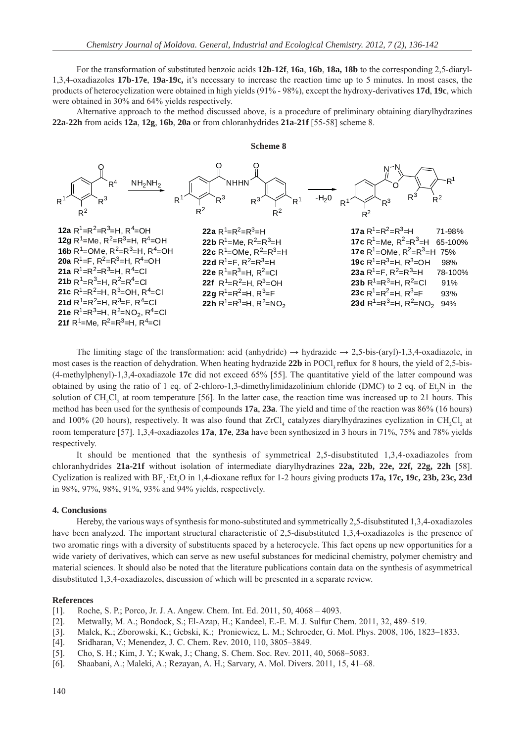For the transformation of substituted benzoic acids **12b-12f**, **16a**, **16b**, **18a, 18b** to the corresponding 2,5-diaryl-1,3,4-oxadiazoles **17b-17e**, **19a-19c,** it's necessary to increase the reaction time up to 5 minutes. In most cases, the products of heterocyclization were obtained in high yields (91% - 98%), except the hydroxy-derivatives **17d**, **19c**, which were obtained in 30% and 64% yields respectively.

Alternative approach to the method discussed above, is a procedure of preliminary obtaining diarylhydrazines **22a-22h** from acids **12a**, **12g**, **16b**, **20a** or from chloranhydrides **21a-21f** [55-58] scheme 8.

## **Scheme 8**



The limiting stage of the transformation: acid (anhydride)  $\rightarrow$  hydrazide  $\rightarrow$  2,5-bis-(aryl)-1,3,4-oxadiazole, in most cases is the reaction of dehydration. When heating hydrazide 22b in POCl, reflux for 8 hours, the yield of 2,5-bis-(4-methylphenyl)-1,3,4-oxadiazole **17c** did not exceed 65% [55]. The quantitative yield of the latter compound was obtained by using the ratio of 1 eq. of 2-chloro-1,3-dimethylimidazolinium chloride (DMC) to 2 eq. of  $Et_3N$  in the solution of  $CH_2Cl_2$  at room temperature [56]. In the latter case, the reaction time was increased up to 21 hours. This method has been used for the synthesis of compounds **17a**, **23a**. The yield and time of the reaction was 86% (16 hours) and 100% (20 hours), respectively. It was also found that  $ZrCl_4$  catalyzes diarylhydrazines cyclization in  $CH_2Cl_2$  at room temperature [57]. 1,3,4-oxadiazoles **17a**, **17e**, **23a** have been synthesized in 3 hours in 71%, 75% and 78% yields respectively.

It should be mentioned that the synthesis of symmetrical 2,5-disubstituted 1,3,4-oxadiazoles from chloranhydrides **21a-21f** without isolation of intermediate diarylhydrazines **22a, 22b, 22e, 22f, 22g, 22h** [58]. Cyclization is realized with  $BF_3$   $Et_2O$  in 1,4-dioxane reflux for 1-2 hours giving products 17a, 17c, 19c, 23b, 23c, 23d in 98%, 97%, 98%, 91%, 93% and 94% yields, respectively.

## **4. Conclusions**

Hereby, the various ways of synthesis for mono-substituted and symmetrically 2,5-disubstituted 1,3,4-oxadiazoles have been analyzed. The important structural characteristic of 2,5-disubstituted 1,3,4-oxadiazoles is the presence of two aromatic rings with a diversity of substituents spaced by a heterocycle. This fact opens up new opportunities for a wide variety of derivatives, which can serve as new useful substances for medicinal chemistry, polymer chemistry and material sciences. It should also be noted that the literature publications contain data on the synthesis of asymmetrical disubstituted 1,3,4-oxadiazoles, discussion of which will be presented in a separate review.

#### **References**

- [1]. Roche, S. P.; Porco, Jr. J. A. Angew. Chem. Int. Ed. 2011, 50, 4068 4093.
- [2]. Metwally, M. A.; Bondock, S.; El-Azap, H.; Kandeel, E.-E. M. J. Sulfur Chem. 2011, 32, 489–519.
- [3]. Malek, K.; Zborowski, K.; Gebski, K.; Proniewicz, L. M.; Schroeder, G. Mol. Phys. 2008, 106, 1823–1833.
- [4]. Sridharan, V.; Menendez, J. C. Chem. Rev. 2010, 110, 3805–3849.
- [5]. Cho, S. H.; Kim, J. Y.; Kwak, J.; Chang, S. Chem. Soc. Rev. 2011, 40, 5068–5083.
- [6]. Shaabani, A.; Maleki, A.; Rezayan, A. H.; Sarvary, A. Mol. Divers. 2011, 15, 41–68.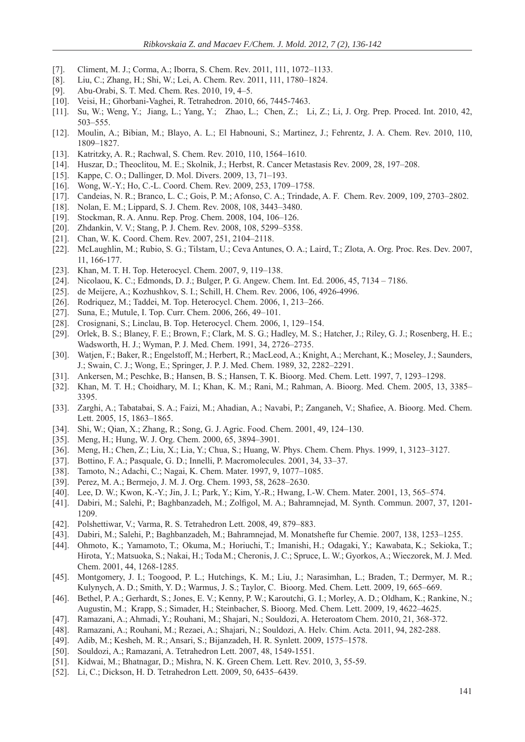- [7]. Climent, M. J.; Corma, A.; Iborra, S. Chem. Rev. 2011, 111, 1072–1133.
- [8]. Liu, C.; Zhang, H.; Shi, W.; Lei, A. Chem. Rev. 2011, 111, 1780–1824.
- [9]. Abu-Orabi, S. T. Med. Chem. Res. 2010, 19, 4–5.
- [10]. Veisi, H.; Ghorbani-Vaghei, R. Tetrahedron. 2010, 66, 7445-7463.
- [11]. Su, W.; Weng, Y.; Jiang, L.; Yang, Y.; Zhao, L.; Chen, Z.; Li, Z.; Li, J. Org. Prep. Proced. Int. 2010, 42, 503–555.
- [12]. Moulin, A.; Bibian, M.; Blayo, A. L.; El Habnouni, S.; Martinez, J.; Fehrentz, J. A. Chem. Rev. 2010, 110, 1809–1827.
- [13]. Katritzky, A. R.; Rachwal, S. Chem. Rev. 2010, 110, 1564–1610.
- [14]. Huszar, D.; Theoclitou, M. E.; Skolnik, J.; Herbst, R. Cancer Metastasis Rev. 2009, 28, 197–208.
- [15]. Kappe, C. O.; Dallinger, D. Mol. Divers. 2009, 13, 71-193.
- [16]. Wong, W.-Y.; Ho, C.-L. Coord. Chem. Rev. 2009, 253, 1709–1758.
- [17]. Candeias, N. R.; Branco, L. C.; Gois, P. M.; Afonso, C. A.; Trindade, A. F. Chem. Rev. 2009, 109, 2703–2802.
- [18]. Nolan, E. M.; Lippard, S. J. Chem. Rev. 2008, 108, 3443–3480.
- [19]. Stockman, R. A. Annu. Rep. Prog. Chem. 2008, 104, 106–126.
- [20]. Zhdankin, V. V.; Stang, P. J. Chem. Rev. 2008, 108, 5299-5358.
- [21]. Chan, W. K. Coord. Chem. Rev. 2007, 251, 2104–2118.
- [22]. McLaughlin, M.; Rubio, S. G.; Tilstam, U.; Ceva Antunes, O. A.; Laird, T.; Zlota, A. Org. Proc. Res. Dev. 2007, 11, 166-177.
- [23]. Khan, M. T. H. Top. Heterocycl. Chem. 2007, 9, 119–138.
- [24]. Nicolaou, K. C.; Edmonds, D. J.; Bulger, P. G. Angew. Chem. Int. Ed. 2006, 45, 7134 7186.
- [25]. de Meijere, A.; Kozhushkov, S. I.; Schill, H. Chem. Rev. 2006, 106, 4926-4996.
- [26]. Rodriquez, M.; Taddei, M. Top. Heterocycl. Chem. 2006, 1, 213-266.
- [27]. Suna, E.; Mutule, I. Top. Curr. Chem. 2006, 266, 49–101.
- [28]. Crosignani, S.; Linclau, B. Top. Heterocycl. Chem. 2006, 1, 129–154.
- [29]. Orlek, B. S.; Blaney, F. E.; Brown, F.; Clark, M. S. G.; Hadley, M. S.; Hatcher, J.; Riley, G. J.; Rosenberg, H. E.; Wadsworth, H. J.; Wyman, P. J. Med. Chem. 1991, 34, 2726–2735.
- [30]. Watjen, F.; Baker, R.; Engelstoff, M.; Herbert, R.; MacLeod, A.; Knight, A.; Merchant, K.; Moseley, J.; Saunders, J.; Swain, C. J.; Wong, E.; Springer, J. P. J. Med. Chem. 1989, 32, 2282–2291.
- [31]. Ankersen, M.; Peschke, B.; Hansen, B. S.; Hansen, T. K. Bioorg. Med. Chem. Lett. 1997, 7, 1293–1298.
- [32]. Khan, M. T. H.; Choidhary, M. I.; Khan, K. M.; Rani, M.; Rahman, A. Bioorg. Med. Chem. 2005, 13, 3385– 3395.
- [33]. Zarghi, A.; Tabatabai, S. A.; Faizi, M.; Ahadian, A.; Navabi, P.; Zanganeh, V.; Shafiee, A. Bioorg. Med. Chem. Lett. 2005, 15, 1863–1865.
- [34]. Shi, W.; Qian, X.; Zhang, R.; Song, G. J. Agric. Food. Chem. 2001, 49, 124–130.
- [35]. Meng, H.; Hung, W. J. Org. Chem. 2000, 65, 3894–3901.
- [36]. Meng, H.; Chen, Z.; Liu, X.; Lia, Y.; Chua, S.; Huang, W. Phys. Chem. Chem. Phys. 1999, 1, 3123–3127.
- [37]. Bottino, F. A.; Pasquale, G. D.; Innelli, P. Macromolecules. 2001, 34, 33–37.
- [38]. Tamoto, N.; Adachi, C.; Nagai, K. Chem. Mater. 1997, 9, 1077–1085.
- [39]. Perez, M. A.; Bermejo, J. M. J. Org. Chem. 1993, 58, 2628–2630.
- [40]. Lee, D. W.; Kwon, K.-Y.; Jin, J. I.; Park, Y.; Kim, Y.-R.; Hwang, I.-W. Chem. Mater. 2001, 13, 565–574.
- [41]. Dabiri, M.; Salehi, P.; Baghbanzadeh, M.; Zolfigol, M. A.; Bahramnejad, M. Synth. Commun. 2007, 37, 1201-1209.
- [42]. Polshettiwar, V.; Varma, R. S. Tetrahedron Lett. 2008, 49, 879–883.
- [43]. Dabiri, M.; Salehi, P.; Baghbanzadeh, M.; Bahramnejad, M. Monatshefte fur Chemie. 2007, 138, 1253–1255.
- [44]. Ohmoto, K.; Yamamoto, T.; Okuma, M.; Horiuchi, T.; Imanishi, H.; Odagaki, Y.; Kawabata, K.; Sekioka, T.; Hirota, Y.; Matsuoka, S.; Nakai, H.; TodaM.; Cheronis, J. C.; Spruce, L. W.; Gyorkos, A.; Wieczorek, M. J. Med. Chem. 2001, 44, 1268-1285.
- [45]. Montgomery, J. I.; Toogood, P. L.; Hutchings, K. M.; Liu, J.; Narasimhan, L.; Braden, T.; Dermyer, M. R.; Kulynych, A. D.; Smith, Y. D.; Warmus, J. S.; Taylor, C. Bioorg. Med. Chem. Lett. 2009, 19, 665–669.
- [46]. Bethel, P. A.; Gerhardt, S.; Jones, E. V.; Kenny, P. W.; Karoutchi, G. I.; Morley, A. D.; Oldham, K.; Rankine, N.; Augustin, M.; Krapp, S.; Simader, H.; Steinbacher, S. Bioorg. Med. Chem. Lett. 2009, 19, 4622–4625.
- [47]. Ramazani, A.; Ahmadi, Y.; Rouhani, M.; Shajari, N.; Souldozi, A. Heteroatom Chem. 2010, 21, 368-372.
- [48]. Ramazani, A.; Rouhani, M.; Rezaei, A.; Shajari, N.; Souldozi, A. Helv. Chim. Acta. 2011, 94, 282-288.
- [49]. Adib, M.; Kesheh, M. R.; Ansari, S.; Bijanzadeh, H. R. Synlett. 2009, 1575–1578.
- [50]. Souldozi, A.; Ramazani, A. Tetrahedron Lett. 2007, 48, 1549-1551.
- [51]. Kidwai, M.; Bhatnagar, D.; Mishra, N. K. Green Chem. Lett. Rev. 2010, 3, 55-59.
- [52]. Li, C.; Dickson, H. D. Tetrahedron Lett. 2009, 50, 6435–6439.